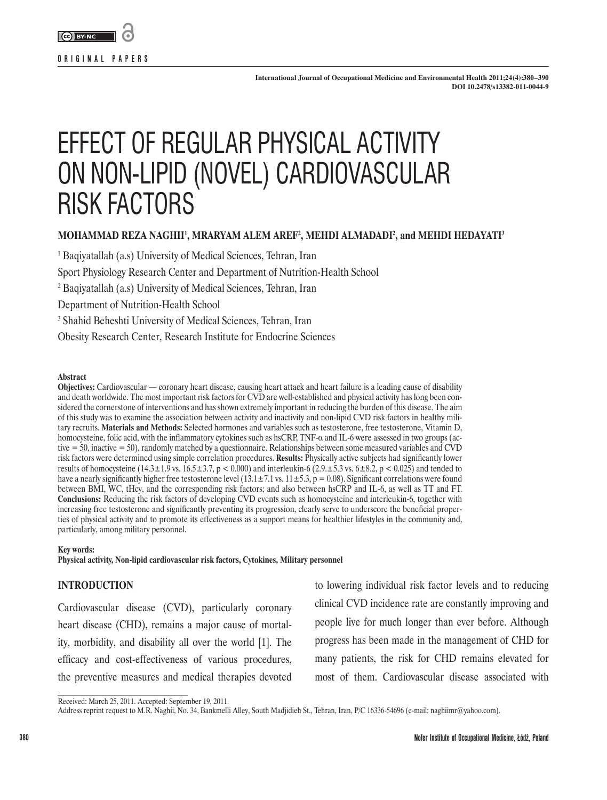

**ORIGINAL PAPERS**

# EFFECT OF REGULAR PHYSICAL ACTIVITY ON NON-LIPID (NOVEL) CARDIOVASCULAR RISK FACTORS

# **MOHAMMAD REZA NAGHII1 , MRARYAM ALEM AREF2 , MEHDI ALMADADI2 , and MEHDI HEDAYATI3**

1 Baqiyatallah (a.s) University of Medical Sciences, Tehran, Iran Sport Physiology Research Center and Department of Nutrition-Health School 2 Baqiyatallah (a.s) University of Medical Sciences, Tehran, Iran Department of Nutrition-Health School <sup>3</sup> Shahid Beheshti University of Medical Sciences, Tehran, Iran

Obesity Research Center, Research Institute for Endocrine Sciences

#### **Abstract**

**Objectives:** Cardiovascular — coronary heart disease, causing heart attack and heart failure is a leading cause of disability and death worldwide. The most important risk factors for CVD are well-established and physical activity has long been considered the cornerstone of interventions and has shown extremely important in reducing the burden of this disease. The aim of this study was to examine the association between activity and inactivity and non-lipid CVD risk factors in healthy military recruits. **Materials and Methods:** Selected hormones and variables such as testosterone, free testosterone, Vitamin D, homocysteine, folic acid, with the inflammatory cytokines such as hsCRP, TNF-α and IL-6 were assessed in two groups (active = 50, inactive = 50), randomly matched by a questionnaire. Relationships between some measured variables and CVD risk factors were determined using simple correlation procedures. **Results:** Physically active subjects had significantly lower results of homocysteine (14.3±1.9 vs.  $16.5 \pm 3.7$ , p < 0.000) and interleukin-6 (2.9. $\pm 5.3$  vs.  $6 \pm 8.2$ , p < 0.025) and tended to have a nearly significantly higher free testosterone level ( $13.1 \pm 7.1$  vs.  $11 \pm 5.3$ , p = 0.08). Significant correlations were found between BMI, WC, tHcy, and the corresponding risk factors; and also between hsCRP and IL-6, as well as TT and FT. **Conclusions:** Reducing the risk factors of developing CVD events such as homocysteine and interleukin-6, together with increasing free testosterone and significantly preventing its progression, clearly serve to underscore the beneficial properties of physical activity and to promote its effectiveness as a support means for healthier lifestyles in the community and, particularly, among military personnel.

#### **Key words:**

**Physical activity, Non-lipid cardiovascular risk factors, Cytokines, Military personnel**

# **INTRODUCTION**

Cardiovascular disease (CVD), particularly coronary heart disease (CHD), remains a major cause of mortality, morbidity, and disability all over the world [1]. The efficacy and cost-effectiveness of various procedures, the preventive measures and medical therapies devoted to lowering individual risk factor levels and to reducing clinical CVD incidence rate are constantly improving and people live for much longer than ever before. Although progress has been made in the management of CHD for many patients, the risk for CHD remains elevated for most of them. Cardiovascular disease associated with

Received: March 25, 2011. Accepted: September 19, 2011.

Address reprint request to M.R. Naghii, No. 34, Bankmelli Alley, South Madjidieh St., Tehran, Iran, P/C 16336-54696 (e-mail: naghiimr@yahoo.com).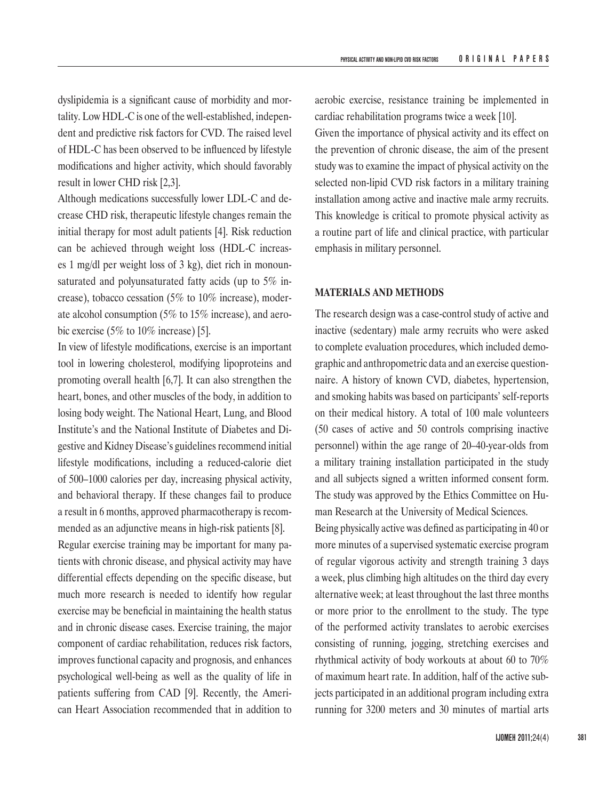dyslipidemia is a significant cause of morbidity and mortality. Low HDL-C is one of the well-established, independent and predictive risk factors for CVD. The raised level of HDL-C has been observed to be influenced by lifestyle modifications and higher activity, which should favorably result in lower CHD risk [2,3].

Although medications successfully lower LDL-C and decrease CHD risk, therapeutic lifestyle changes remain the initial therapy for most adult patients [4]. Risk reduction can be achieved through weight loss (HDL-C increases 1 mg/dl per weight loss of 3 kg), diet rich in monounsaturated and polyunsaturated fatty acids (up to 5% increase), tobacco cessation (5% to 10% increase), moderate alcohol consumption (5% to 15% increase), and aerobic exercise (5% to 10% increase) [5].

In view of lifestyle modifications, exercise is an important tool in lowering cholesterol, modifying lipoproteins and promoting overall health [6,7]. It can also strengthen the heart, bones, and other muscles of the body, in addition to losing body weight. The National Heart, Lung, and Blood Institute's and the National Institute of Diabetes and Digestive and Kidney Disease's guidelines recommend initial lifestyle modifications, including a reduced-calorie diet of 500–1000 calories per day, increasing physical activity, and behavioral therapy. If these changes fail to produce a result in 6 months, approved pharmacotherapy is recommended as an adjunctive means in high-risk patients [8].

Regular exercise training may be important for many patients with chronic disease, and physical activity may have differential effects depending on the specific disease, but much more research is needed to identify how regular exercise may be beneficial in maintaining the health status and in chronic disease cases. Exercise training, the major component of cardiac rehabilitation, reduces risk factors, improves functional capacity and prognosis, and enhances psychological well-being as well as the quality of life in patients suffering from CAD [9]. Recently, the American Heart Association recommended that in addition to

aerobic exercise, resistance training be implemented in cardiac rehabilitation programs twice a week [10]. Given the importance of physical activity and its effect on the prevention of chronic disease, the aim of the present study was to examine the impact of physical activity on the selected non-lipid CVD risk factors in a military training installation among active and inactive male army recruits. This knowledge is critical to promote physical activity as

a routine part of life and clinical practice, with particular

#### **MATERIALS AND METHODS**

emphasis in military personnel.

The research design was a case-control study of active and inactive (sedentary) male army recruits who were asked to complete evaluation procedures, which included demographic and anthropometric data and an exercise questionnaire. A history of known CVD, diabetes, hypertension, and smoking habits was based on participants' self-reports on their medical history. A total of 100 male volunteers (50 cases of active and 50 controls comprising inactive personnel) within the age range of 20–40-year-olds from a military training installation participated in the study and all subjects signed a written informed consent form. The study was approved by the Ethics Committee on Human Research at the University of Medical Sciences.

Being physically active was defined as participating in 40 or more minutes of a supervised systematic exercise program of regular vigorous activity and strength training 3 days a week, plus climbing high altitudes on the third day every alternative week; at least throughout the last three months or more prior to the enrollment to the study. The type of the performed activity translates to aerobic exercises consisting of running, jogging, stretching exercises and rhythmical activity of body workouts at about 60 to 70% of maximum heart rate. In addition, half of the active subjects participated in an additional program including extra running for 3200 meters and 30 minutes of martial arts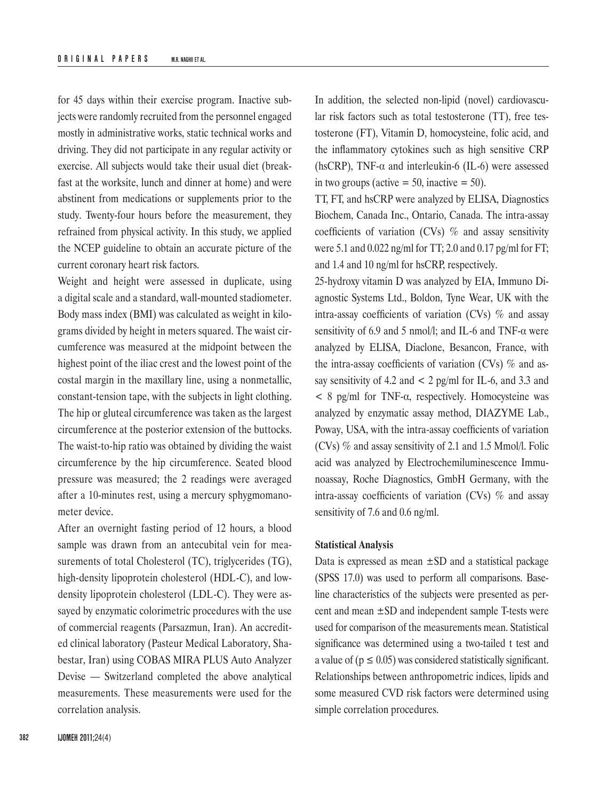for 45 days within their exercise program. Inactive subjects were randomly recruited from the personnel engaged mostly in administrative works, static technical works and driving. They did not participate in any regular activity or exercise. All subjects would take their usual diet (breakfast at the worksite, lunch and dinner at home) and were abstinent from medications or supplements prior to the study. Twenty-four hours before the measurement, they refrained from physical activity. In this study, we applied the NCEP guideline to obtain an accurate picture of the current coronary heart risk factors.

Weight and height were assessed in duplicate, using a digital scale and a standard, wall-mounted stadiometer. Body mass index (BMI) was calculated as weight in kilograms divided by height in meters squared. The waist circumference was measured at the midpoint between the highest point of the iliac crest and the lowest point of the costal margin in the maxillary line, using a nonmetallic, constant-tension tape, with the subjects in light clothing. The hip or gluteal circumference was taken as the largest circumference at the posterior extension of the buttocks. The waist-to-hip ratio was obtained by dividing the waist circumference by the hip circumference. Seated blood pressure was measured; the 2 readings were averaged after a 10-minutes rest, using a mercury sphygmomanometer device.

After an overnight fasting period of 12 hours, a blood sample was drawn from an antecubital vein for measurements of total Cholesterol (TC), triglycerides (TG), high-density lipoprotein cholesterol (HDL-C), and lowdensity lipoprotein cholesterol (LDL-C). They were assayed by enzymatic colorimetric procedures with the use of commercial reagents (Parsazmun, Iran). An accredited clinical laboratory (Pasteur Medical Laboratory, Shabestar, Iran) using COBAS MIRA PLUS Auto Analyzer Devise — Switzerland completed the above analytical measurements. These measurements were used for the correlation analysis.

In addition, the selected non-lipid (novel) cardiovascular risk factors such as total testosterone (TT), free testosterone (FT), Vitamin D, homocysteine, folic acid, and the inflammatory cytokines such as high sensitive CRP (hsCRP), TNF- $\alpha$  and interleukin-6 (IL-6) were assessed in two groups (active  $= 50$ , inactive  $= 50$ ).

TT, FT, and hsCRP were analyzed by ELISA, Diagnostics Biochem, Canada Inc., Ontario, Canada. The intra-assay coefficients of variation (CVs)  $\%$  and assay sensitivity were 5.1 and 0.022 ng/ml for TT; 2.0 and 0.17 pg/ml for FT; and 1.4 and 10 ng/ml for hsCRP, respectively.

25-hydroxy vitamin D was analyzed by EIA, Immuno Diagnostic Systems Ltd., Boldon, Tyne Wear, UK with the intra-assay coefficients of variation (CVs)  $\%$  and assay sensitivity of 6.9 and 5 nmol/l; and IL-6 and TNF-α were analyzed by ELISA, Diaclone, Besancon, France, with the intra-assay coefficients of variation (CVs)  $\%$  and assay sensitivity of 4.2 and  $\lt$  2 pg/ml for IL-6, and 3.3 and < 8 pg/ml for TNF-α, respectively. Homocysteine was analyzed by enzymatic assay method, DIAZYME Lab., Poway, USA, with the intra-assay coefficients of variation (CVs) % and assay sensitivity of 2.1 and 1.5 Mmol/l. Folic acid was analyzed by Electrochemiluminescence Immunoassay, Roche Diagnostics, GmbH Germany, with the intra-assay coefficients of variation (CVs)  $%$  and assay sensitivity of 7.6 and 0.6 ng/ml.

## **Statistical Analysis**

Data is expressed as mean  $\pm$ SD and a statistical package (SPSS 17.0) was used to perform all comparisons. Baseline characteristics of the subjects were presented as percent and mean ±SD and independent sample T-tests were used for comparison of the measurements mean. Statistical significance was determined using a two-tailed t test and a value of ( $p \le 0.05$ ) was considered statistically significant. Relationships between anthropometric indices, lipids and some measured CVD risk factors were determined using simple correlation procedures.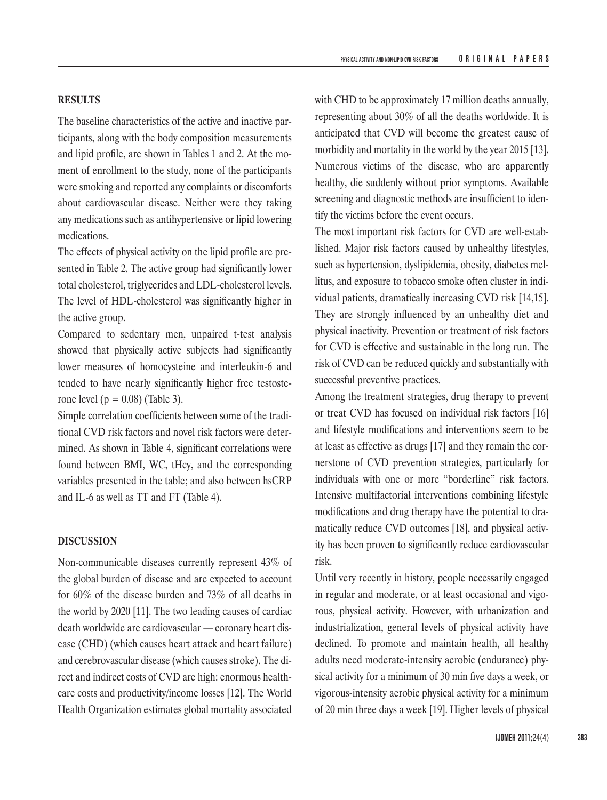# **RESULTS**

The baseline characteristics of the active and inactive participants, along with the body composition measurements and lipid profile, are shown in Tables 1 and 2. At the moment of enrollment to the study, none of the participants were smoking and reported any complaints or discomforts about cardiovascular disease. Neither were they taking any medications such as antihypertensive or lipid lowering medications.

The effects of physical activity on the lipid profile are presented in Table 2. The active group had significantly lower total cholesterol, triglycerides and LDL-cholesterol levels. The level of HDL-cholesterol was significantly higher in the active group.

Compared to sedentary men, unpaired t-test analysis showed that physically active subjects had significantly lower measures of homocysteine and interleukin-6 and tended to have nearly significantly higher free testosterone level ( $p = 0.08$ ) (Table 3).

Simple correlation coefficients between some of the traditional CVD risk factors and novel risk factors were determined. As shown in Table 4, significant correlations were found between BMI, WC, tHcy, and the corresponding variables presented in the table; and also between hsCRP and IL-6 as well as TT and FT (Table 4).

## **DISCUSSION**

Non-communicable diseases currently represent 43% of the global burden of disease and are expected to account for 60% of the disease burden and 73% of all deaths in the world by 2020 [11]. The two leading causes of cardiac death worldwide are cardiovascular — coronary heart disease (CHD) (which causes heart attack and heart failure) and cerebrovascular disease (which causes stroke). The direct and indirect costs of CVD are high: enormous healthcare costs and productivity/income losses [12]. The World Health Organization estimates global mortality associated with CHD to be approximately 17 million deaths annually, representing about 30% of all the deaths worldwide. It is anticipated that CVD will become the greatest cause of morbidity and mortality in the world by the year 2015 [13]. Numerous victims of the disease, who are apparently healthy, die suddenly without prior symptoms. Available screening and diagnostic methods are insufficient to identify the victims before the event occurs.

The most important risk factors for CVD are well-established. Major risk factors caused by unhealthy lifestyles, such as hypertension, dyslipidemia, obesity, diabetes mellitus, and exposure to tobacco smoke often cluster in individual patients, dramatically increasing CVD risk [14,15]. They are strongly influenced by an unhealthy diet and physical inactivity. Prevention or treatment of risk factors for CVD is effective and sustainable in the long run. The risk of CVD can be reduced quickly and substantially with successful preventive practices.

Among the treatment strategies, drug therapy to prevent or treat CVD has focused on individual risk factors [16] and lifestyle modifications and interventions seem to be at least as effective as drugs [17] and they remain the cornerstone of CVD prevention strategies, particularly for individuals with one or more "borderline" risk factors. Intensive multifactorial interventions combining lifestyle modifications and drug therapy have the potential to dramatically reduce CVD outcomes [18], and physical activity has been proven to significantly reduce cardiovascular risk.

Until very recently in history, people necessarily engaged in regular and moderate, or at least occasional and vigorous, physical activity. However, with urbanization and industrialization, general levels of physical activity have declined. To promote and maintain health, all healthy adults need moderate-intensity aerobic (endurance) physical activity for a minimum of 30 min five days a week, or vigorous-intensity aerobic physical activity for a minimum of 20 min three days a week [19]. Higher levels of physical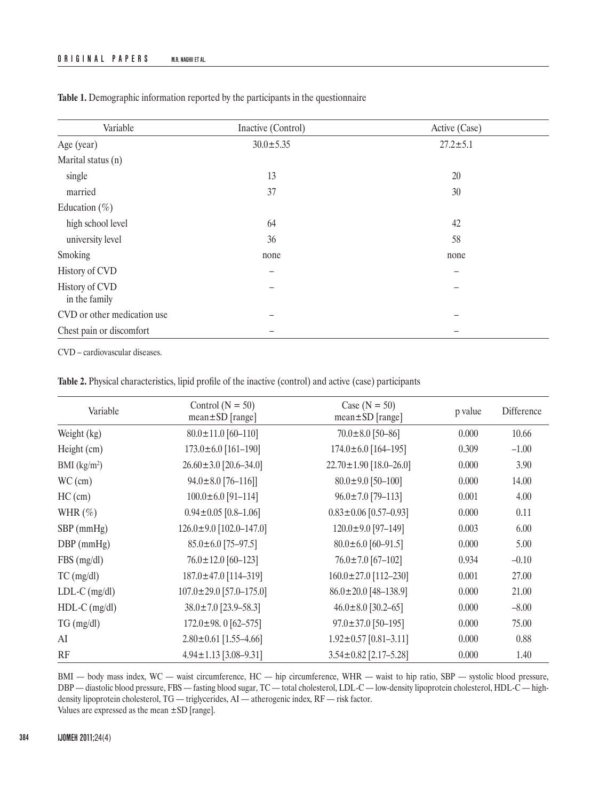| Variable                        | Inactive (Control) | Active (Case)  |
|---------------------------------|--------------------|----------------|
| Age (year)                      | $30.0 \pm 5.35$    | $27.2 \pm 5.1$ |
| Marital status (n)              |                    |                |
| single                          | 13                 | 20             |
| married                         | 37                 | 30             |
| Education $(\% )$               |                    |                |
| high school level               | 64                 | 42             |
| university level                | 36                 | 58             |
| Smoking                         | none               | none           |
| History of CVD                  |                    |                |
| History of CVD<br>in the family |                    |                |
| CVD or other medication use     |                    |                |
| Chest pain or discomfort        |                    |                |

**Table 1.** Demographic information reported by the participants in the questionnaire

CVD – cardiovascular diseases.

**Table 2.** Physical characteristics, lipid profile of the inactive (control) and active (case) participants

| Variable        | Control ( $N = 50$ )<br>$mean \pm SD$ [range] | Case ( $N = 50$ )<br>$mean \pm SD$ [range] | p value | Difference |
|-----------------|-----------------------------------------------|--------------------------------------------|---------|------------|
| Weight (kg)     | $80.0 \pm 11.0$ [60-110]                      | $70.0 \pm 8.0$ [50-86]                     | 0.000   | 10.66      |
| Height (cm)     | $173.0 \pm 6.0$ [161-190]                     | $174.0 \pm 6.0$ [164-195]                  | 0.309   | $-1.00$    |
| BMI $(kg/m2)$   | $26.60 \pm 3.0$ [20.6-34.0]                   | $22.70 \pm 1.90$ [18.0-26.0]               | 0.000   | 3.90       |
| $WC$ (cm)       | $94.0 \pm 8.0$ [76-116]]                      | $80.0 \pm 9.0$ [50-100]                    | 0.000   | 14.00      |
| $HC$ (cm)       | $100.0 \pm 6.0$ [91-114]                      | $96.0 \pm 7.0$ [79-113]                    | 0.001   | 4.00       |
| WHR $(\%)$      | $0.94 \pm 0.05$ [0.8-1.06]                    | $0.83 \pm 0.06$ [0.57-0.93]                | 0.000   | 0.11       |
| $SBP$ (mmHg)    | 126.0±9.0 [102.0-147.0]                       | 120.0±9.0 [97-149]                         | 0.003   | 6.00       |
| $DBP$ (mmHg)    | $85.0 \pm 6.0$ [75-97.5]                      | $80.0 \pm 6.0$ [60-91.5]                   | 0.000   | 5.00       |
| FBS (mg/dl)     | $76.0 \pm 12.0$ [60-123]                      | $76.0 \pm 7.0$ [67-102]                    | 0.934   | $-0.10$    |
| $TC$ (mg/dl)    | 187.0±47.0 [114-319]                          | $160.0 \pm 27.0$ [112-230]                 | 0.001   | 27.00      |
| $LDL-C$ (mg/dl) | $107.0 \pm 29.0$ [57.0-175.0]                 | $86.0 \pm 20.0$ [48-138.9]                 | 0.000   | 21.00      |
| $HDL-C$ (mg/dl) | $38.0 \pm 7.0$ [23.9-58.3]                    | $46.0 \pm 8.0$ [30.2-65]                   | 0.000   | $-8.00$    |
| $TG$ (mg/dl)    | $172.0 \pm 98.0$ [62-575]                     | $97.0 \pm 37.0$ [50-195]                   | 0.000   | 75.00      |
| AI              | $2.80 \pm 0.61$ [1.55-4.66]                   | $1.92 \pm 0.57$ [0.81-3.11]                | 0.000   | 0.88       |
| RF              | $4.94 \pm 1.13$ [3.08-9.31]                   | $3.54 \pm 0.82$ [2.17-5.28]                | 0.000   | 1.40       |

BMI — body mass index, WC — waist circumference, HC — hip circumference, WHR — waist to hip ratio, SBP — systolic blood pressure, DBP — diastolic blood pressure, FBS — fasting blood sugar, TC — total cholesterol, LDL-C — low-density lipoprotein cholesterol, HDL-C — highdensity lipoprotein cholesterol, TG — triglycerides, AI — atherogenic index, RF — risk factor. Values are expressed as the mean ±SD [range].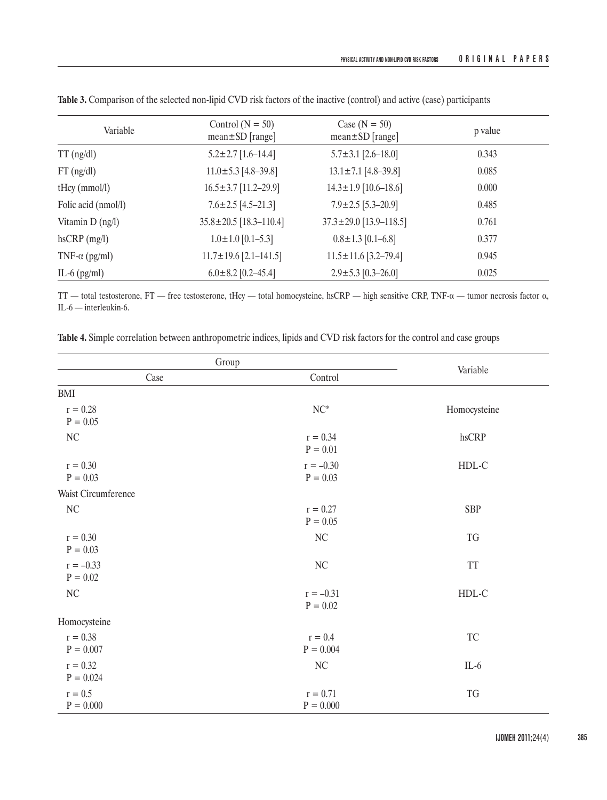| Variable              | Control $(N = 50)$<br>$mean \pm SD$ [range] | Case ( $N = 50$ )<br>$mean \pm SD$ [range] | p value |
|-----------------------|---------------------------------------------|--------------------------------------------|---------|
| $TT$ (ng/dl)          | $5.2 \pm 2.7$ [1.6-14.4]                    | $5.7 \pm 3.1$ [2.6-18.0]                   | 0.343   |
| $FT$ (ng/dl)          | $11.0 \pm 5.3$ [4.8-39.8]                   | $13.1 \pm 7.1$ [4.8-39.8]                  | 0.085   |
| tHcy (mmol/l)         | $16.5 \pm 3.7$ [11.2-29.9]                  | $14.3 \pm 1.9$ [10.6-18.6]                 | 0.000   |
| Folic acid (nmol/l)   | $7.6 \pm 2.5$ [4.5-21.3]                    | $7.9 \pm 2.5$ [5.3-20.9]                   | 0.485   |
| Vitamin $D$ (ng/l)    | $35.8 \pm 20.5$ [18.3-110.4]                | $37.3 \pm 29.0$ [13.9-118.5]               | 0.761   |
| $h$ s $CRP$ (mg/l)    | $1.0 \pm 1.0$ [0.1-5.3]                     | $0.8 \pm 1.3$ [0.1-6.8]                    | 0.377   |
| TNF- $\alpha$ (pg/ml) | $11.7 \pm 19.6$ [2.1-141.5]                 | $11.5 \pm 11.6$ [3.2-79.4]                 | 0.945   |
| IL-6 $(pg/ml)$        | $6.0 \pm 8.2$ [0.2-45.4]                    | $2.9 \pm 5.3$ [0.3-26.0]                   | 0.025   |

**Table 3.** Comparison of the selected non-lipid CVD risk factors of the inactive (control) and active (case) participants

TT — total testosterone, FT — free testosterone, tHcy — total homocysteine, hsCRP — high sensitive CRP, TNF-α — tumor necrosis factor α, IL-6 — interleukin-6.

**Table 4.** Simple correlation between anthropometric indices, lipids and CVD risk factors for the control and case groups

| Group                     |                           |                                                    |
|---------------------------|---------------------------|----------------------------------------------------|
| Case                      | Control                   | Variable                                           |
| $\operatorname{BMI}$      |                           |                                                    |
| $r = 0.28$<br>$P = 0.05$  | $\mathrm{NC}^*$           | Homocysteine                                       |
| $\rm NC$                  | $r = 0.34$<br>$P = 0.01$  | hsCRP                                              |
| $r = 0.30$<br>$P = 0.03$  | $r = -0.30$<br>$P = 0.03$ | $HDL-C$                                            |
| Waist Circumference       |                           |                                                    |
| $\rm NC$                  | $r = 0.27$<br>$P = 0.05$  | <b>SBP</b>                                         |
| $r = 0.30$<br>$P = 0.03$  | $\rm NC$                  | TG                                                 |
| $r = -0.33$<br>$P = 0.02$ | $\rm NC$                  | $\ensuremath{\mathcal{T}}\ensuremath{\mathcal{T}}$ |
| $\rm NC$                  | $r = -0.31$<br>$P = 0.02$ | $HDL-C$                                            |
| Homocysteine              |                           |                                                    |
| $r = 0.38$<br>$P = 0.007$ | $r = 0.4$<br>$P = 0.004$  | ${\rm TC}$                                         |
| $r = 0.32$<br>$P = 0.024$ | $\rm NC$                  | $IL-6$                                             |
| $r = 0.5$<br>$P = 0.000$  | $r = 0.71$<br>$P = 0.000$ | $\mathcal{T}\mathcal{G}$                           |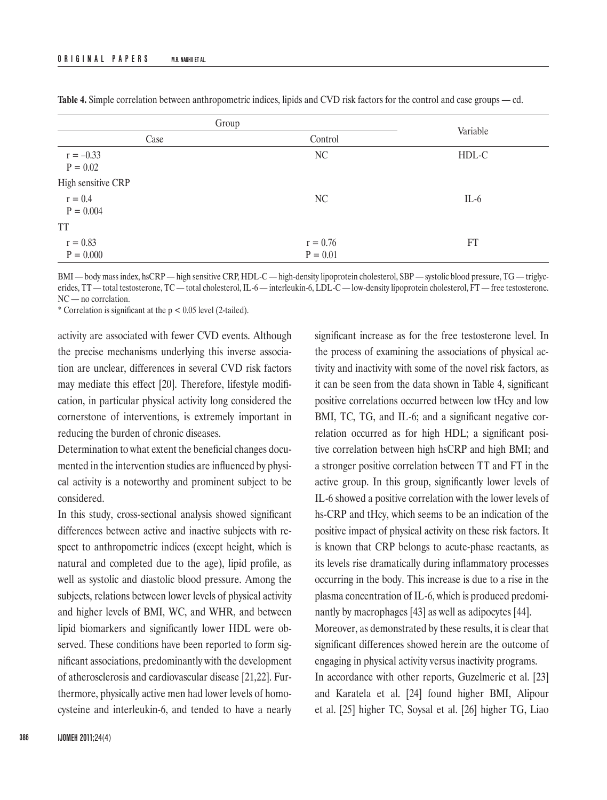| Group                     |                | Variable |
|---------------------------|----------------|----------|
| Case                      | Control        |          |
| $r = -0.33$<br>$P = 0.02$ | NC             | HDL-C    |
| High sensitive CRP        |                |          |
| $r = 0.4$<br>$P = 0.004$  | N <sub>C</sub> | $IL-6$   |
| <b>TT</b>                 |                |          |
| $r = 0.83$                | $r = 0.76$     | FT       |
| $P = 0.000$               | $P = 0.01$     |          |

**Table 4.** Simple correlation between anthropometric indices, lipids and CVD risk factors for the control and case groups — cd.

BMI — body mass index, hsCRP — high sensitive CRP, HDL-C — high-density lipoprotein cholesterol, SBP — systolic blood pressure, TG — triglycerides, TT — total testosterone, TC — total cholesterol, IL-6 — interleukin-6, LDL-C — low-density lipoprotein cholesterol, FT — free testosterone. NC — no correlation.

\* Correlation is significant at the  $p < 0.05$  level (2-tailed).

activity are associated with fewer CVD events. Although the precise mechanisms underlying this inverse association are unclear, differences in several CVD risk factors may mediate this effect [20]. Therefore, lifestyle modification, in particular physical activity long considered the cornerstone of interventions, is extremely important in reducing the burden of chronic diseases.

Determination to what extent the beneficial changes documented in the intervention studies are influenced by physical activity is a noteworthy and prominent subject to be considered.

In this study, cross-sectional analysis showed significant differences between active and inactive subjects with respect to anthropometric indices (except height, which is natural and completed due to the age), lipid profile, as well as systolic and diastolic blood pressure. Among the subjects, relations between lower levels of physical activity and higher levels of BMI, WC, and WHR, and between lipid biomarkers and significantly lower HDL were observed. These conditions have been reported to form significant associations, predominantly with the development of atherosclerosis and cardiovascular disease [21,22]. Furthermore, physically active men had lower levels of homocysteine and interleukin-6, and tended to have a nearly significant increase as for the free testosterone level. In the process of examining the associations of physical activity and inactivity with some of the novel risk factors, as it can be seen from the data shown in Table 4, significant positive correlations occurred between low tHcy and low BMI, TC, TG, and IL-6; and a significant negative correlation occurred as for high HDL; a significant positive correlation between high hsCRP and high BMI; and a stronger positive correlation between TT and FT in the active group. In this group, significantly lower levels of IL-6 showed a positive correlation with the lower levels of hs-CRP and tHcy, which seems to be an indication of the positive impact of physical activity on these risk factors. It is known that CRP belongs to acute-phase reactants, as its levels rise dramatically during [inflammatory](http://en.wikipedia.org/wiki/Inflammation) processes occurring in the body. This increase is due to a rise in the plasma concentration of [IL-6](http://en.wikipedia.org/wiki/Interleukin-6), which is produced predominantly by [macrophages](http://en.wikipedia.org/wiki/Macrophage) [43] as well as [adipocytes](http://en.wikipedia.org/wiki/Adipocyte) [44]. Moreover, as demonstrated by these results, it is clear that significant differences showed herein are the outcome of engaging in physical activity versus inactivity programs.

In accordance with other reports, Guzelmeric et al. [23] and Karatela et al. [24] found higher BMI, Alipour et al. [25] higher TC, Soysal et al. [26] higher TG, Liao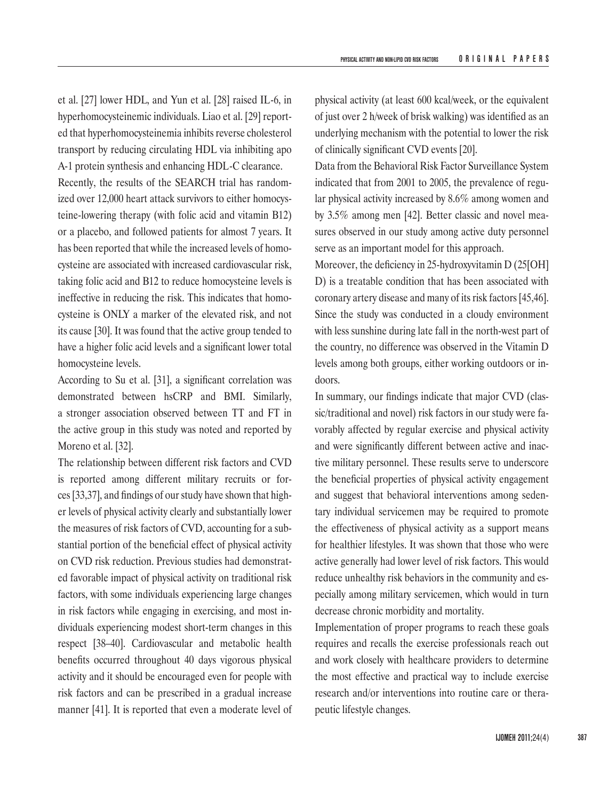et al. [27] lower HDL, and Yun et al. [28] raised IL-6, in hyperhomocysteinemic individuals. Liao et al. [29] reported that hyperhomocysteinemia inhibits reverse cholesterol transport by reducing circulating HDL via inhibiting apo A-1 protein synthesis and enhancing HDL-C clearance.

Recently, the results of the SEARCH trial has randomized over 12,000 heart attack survivors to either homocysteine-lowering therapy (with folic acid and vitamin B12) or a placebo, and followed patients for almost 7 years. It has been reported that while the increased levels of homocysteine are associated with increased cardiovascular risk, taking folic acid and B12 to reduce homocysteine levels is ineffective in reducing the risk. This indicates that homocysteine is ONLY a marker of the elevated risk, and not its cause [30]. It was found that the active group tended to have a higher folic acid levels and a significant lower total homocysteine levels.

According to Su et al. [31], a significant correlation was demonstrated between hsCRP and BMI. Similarly, a stronger association observed between TT and FT in the active group in this study was noted and reported by Moreno et al. [32].

The relationship between different risk factors and CVD is reported among different military recruits or forces [33,37], and findings of our study have shown that higher levels of physical activity clearly and substantially lower the measures of risk factors of CVD, accounting for a substantial portion of the beneficial effect of physical activity on CVD risk reduction. Previous studies had demonstrated favorable impact of physical activity on traditional risk factors, with some individuals experiencing large changes in risk factors while engaging in exercising, and most individuals experiencing modest short-term changes in this respect [38–40]. Cardiovascular and metabolic health benefits occurred throughout 40 days vigorous physical activity and it should be encouraged even for people with risk factors and can be prescribed in a gradual increase manner [41]. It is reported that even a moderate level of physical activity (at least 600 kcal/week, or the equivalent of just over 2 h/week of brisk walking) was identified as an underlying mechanism with the potential to lower the risk of clinically significant CVD events [20].

Data from the Behavioral Risk Factor Surveillance System indicated that from 2001 to 2005, the prevalence of regular physical activity increased by 8.6% among women and by 3.5% among men [42]. Better classic and novel measures observed in our study among active duty personnel serve as an important model for this approach.

Moreover, the deficiency in 25-hydroxyvitamin D (25[OH] D) is a treatable condition that has been associated with coronary artery disease and many of its risk factors [45,46]. Since the study was conducted in a cloudy environment with less sunshine during late fall in the north-west part of the country, no difference was observed in the Vitamin D levels among both groups, either working outdoors or indoors.

In summary, our findings indicate that major CVD (classic/traditional and novel) risk factors in our study were favorably affected by regular exercise and physical activity and were significantly different between active and inactive military personnel. These results serve to underscore the beneficial properties of physical activity engagement and suggest that behavioral interventions among sedentary individual servicemen may be required to promote the effectiveness of physical activity as a support means for healthier lifestyles. It was shown that those who were active generally had lower level of risk factors. This would reduce unhealthy risk behaviors in the community and especially among military servicemen, which would in turn decrease chronic morbidity and mortality.

Implementation of proper programs to reach these goals requires and recalls the exercise professionals reach out and work closely with healthcare providers to determine the most effective and practical way to include exercise research and/or interventions into routine care or therapeutic lifestyle changes.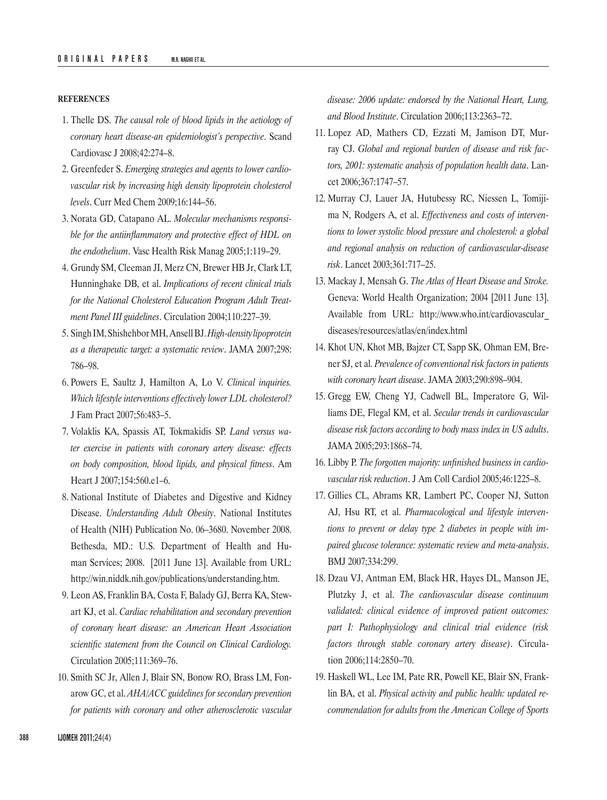## **REFERENCES**

- 1. Thelle DS. *[The causal role of blood lipids in the aetiology of](http://www.ncbi.nlm.nih.gov/pubmed/18668402?ordinalpos=5&itool=EntrezSystem2.PEntrez.Pubmed.Pubmed_ResultsPanel.Pubmed_DefaultReportPanel.Pubmed_RVDocSum) [coronary heart disease-an epidemiologist's perspective](http://www.ncbi.nlm.nih.gov/pubmed/18668402?ordinalpos=5&itool=EntrezSystem2.PEntrez.Pubmed.Pubmed_ResultsPanel.Pubmed_DefaultReportPanel.Pubmed_RVDocSum)*. Scand Cardiovasc J 2008;42:274–8.
- 2. Greenfeder S. *[Emerging strategies and agents to lower cardio](http://www.ncbi.nlm.nih.gov/pubmed/19149567?ordinalpos=1&itool=EntrezSystem2.PEntrez.Pubmed.Pubmed_ResultsPanel.Pubmed_DefaultReportPanel.Pubmed_RVDocSum)[vascular risk by increasing high density lipoprotein cholesterol](http://www.ncbi.nlm.nih.gov/pubmed/19149567?ordinalpos=1&itool=EntrezSystem2.PEntrez.Pubmed.Pubmed_ResultsPanel.Pubmed_DefaultReportPanel.Pubmed_RVDocSum) [levels](http://www.ncbi.nlm.nih.gov/pubmed/19149567?ordinalpos=1&itool=EntrezSystem2.PEntrez.Pubmed.Pubmed_ResultsPanel.Pubmed_DefaultReportPanel.Pubmed_RVDocSum)*. Curr Med Chem 2009;16:144–56.
- 3.  Norata GD, Catapano AL. *[Molecular mechanisms responsi](http://www.ncbi.nlm.nih.gov/pubmed/17315398?ordinalpos=8&itool=EntrezSystem2.PEntrez.Pubmed.Pubmed_ResultsPanel.Pubmed_DefaultReportPanel.Pubmed_RVDocSum)[ble for the antiinflammatory and protective effect of](http://www.ncbi.nlm.nih.gov/pubmed/17315398?ordinalpos=8&itool=EntrezSystem2.PEntrez.Pubmed.Pubmed_ResultsPanel.Pubmed_DefaultReportPanel.Pubmed_RVDocSum) HDL on [the endothelium](http://www.ncbi.nlm.nih.gov/pubmed/17315398?ordinalpos=8&itool=EntrezSystem2.PEntrez.Pubmed.Pubmed_ResultsPanel.Pubmed_DefaultReportPanel.Pubmed_RVDocSum)*. Vasc Health Risk Manag 2005;1:119–29.
- 4.  Grundy SM, Cleeman JI, Merz CN, Brewer HB Jr, Clark LT, Hunninghake DB, et al. *[Implications of recent clinical trials](http://www.ncbi.nlm.nih.gov/pubmed/15249516?ordinalpos=12&itool=EntrezSystem2.PEntrez.Pubmed.Pubmed_ResultsPanel.Pubmed_DefaultReportPanel.Pubmed_RVDocSum) [for the National Cholesterol Education Program Adult Treat](http://www.ncbi.nlm.nih.gov/pubmed/15249516?ordinalpos=12&itool=EntrezSystem2.PEntrez.Pubmed.Pubmed_ResultsPanel.Pubmed_DefaultReportPanel.Pubmed_RVDocSum)[ment Panel III guidelines](http://www.ncbi.nlm.nih.gov/pubmed/15249516?ordinalpos=12&itool=EntrezSystem2.PEntrez.Pubmed.Pubmed_ResultsPanel.Pubmed_DefaultReportPanel.Pubmed_RVDocSum)*. Circulation 2004;110:227–39.
- 5.  Singh IM, Shishehbor MH, Ansell BJ. *[High-density lipoprotein](http://www.ncbi.nlm.nih.gov/pubmed/17699012?ordinalpos=2&itool=EntrezSystem2.PEntrez.Pubmed.Pubmed_ResultsPanel.Pubmed_DefaultReportPanel.Pubmed_RVDocSum) as a [therapeutic target: a](http://www.ncbi.nlm.nih.gov/pubmed/17699012?ordinalpos=2&itool=EntrezSystem2.PEntrez.Pubmed.Pubmed_ResultsPanel.Pubmed_DefaultReportPanel.Pubmed_RVDocSum) systematic review*. JAMA 2007;298: 786–98.
- 6.  Powers E, Saultz J, Hamilton A, Lo V. *[Clinical inquiries.](http://www.ncbi.nlm.nih.gov/pubmed/17543261?ordinalpos=5&itool=EntrezSystem2.PEntrez.Pubmed.Pubmed_ResultsPanel.Pubmed_DefaultReportPanel.Pubmed_RVDocSum) [Which lifestyle interventions effectively lower LDL cholesterol?](http://www.ncbi.nlm.nih.gov/pubmed/17543261?ordinalpos=5&itool=EntrezSystem2.PEntrez.Pubmed.Pubmed_ResultsPanel.Pubmed_DefaultReportPanel.Pubmed_RVDocSum)* J Fam Pract 2007;56:483–5.
- 7.  Volaklis KA, Spassis AT, Tokmakidis SP. *[Land versus wa](http://www.ncbi.nlm.nih.gov/pubmed/17719306?ordinalpos=1&itool=EntrezSystem2.PEntrez.Pubmed.Pubmed_ResultsPanel.Pubmed_DefaultReportPanel.Pubmed_RVDocSum)[ter exercise in patients with coronary artery disease: effects](http://www.ncbi.nlm.nih.gov/pubmed/17719306?ordinalpos=1&itool=EntrezSystem2.PEntrez.Pubmed.Pubmed_ResultsPanel.Pubmed_DefaultReportPanel.Pubmed_RVDocSum) [on body composition, blood lipids, and physical fitness](http://www.ncbi.nlm.nih.gov/pubmed/17719306?ordinalpos=1&itool=EntrezSystem2.PEntrez.Pubmed.Pubmed_ResultsPanel.Pubmed_DefaultReportPanel.Pubmed_RVDocSum)*. Am Heart J 2007;154:560.e1–6.
- 8.  National Institute of Diabetes and Digestive and Kidney Disease. *[Understanding Adult Obesity](http://win.niddk.nih.gov/publications/understanding.htm)*. National Institutes of Health (NIH) Publication No. 06–3680. November 2008. Bethesda, MD.: U.S. Department of Health and Human Services; 2008. [2011 June 13]. Available from URL: http://win.niddk.nih.gov/publications/understanding.htm.
- 9.  Leon AS, Franklin BA, Costa F, Balady GJ, Berra KA, Stewart KJ, et al. *Cardiac rehabilitation and secondary prevention of coronary heart disease: an American Heart Association scientific statement from the Council on Clinical Cardiology.* Circulation 2005;111:369–76.
- 10.  Smith SC Jr, Allen J, Blair SN, Bonow RO, Brass LM, Fonarow GC, et al. *[AHA/ACC guidelines for secondary prevention](http://www.ncbi.nlm.nih.gov/pubmed/16702489?ordinalpos=6&itool=EntrezSystem2.PEntrez.Pubmed.Pubmed_ResultsPanel.Pubmed_DefaultReportPanel.Pubmed_RVDocSum) [for patients with coronary and other atherosclerotic vascular](http://www.ncbi.nlm.nih.gov/pubmed/16702489?ordinalpos=6&itool=EntrezSystem2.PEntrez.Pubmed.Pubmed_ResultsPanel.Pubmed_DefaultReportPanel.Pubmed_RVDocSum)*

*disease: [2006 update: endorsed by the National Heart, Lung,](http://www.ncbi.nlm.nih.gov/pubmed/16702489?ordinalpos=6&itool=EntrezSystem2.PEntrez.Pubmed.Pubmed_ResultsPanel.Pubmed_DefaultReportPanel.Pubmed_RVDocSum)  [and Blood Institute](http://www.ncbi.nlm.nih.gov/pubmed/16702489?ordinalpos=6&itool=EntrezSystem2.PEntrez.Pubmed.Pubmed_ResultsPanel.Pubmed_DefaultReportPanel.Pubmed_RVDocSum)*. Circulation 2006;113:2363–72.

- 11.  Lopez AD, Mathers CD, Ezzati M, Jamison DT, Murray CJ. *[Global and regional burden of disease and risk fac](http://www.ncbi.nlm.nih.gov/pubmed/16731270?ordinalpos=3&itool=EntrezSystem2.PEntrez.Pubmed.Pubmed_ResultsPanel.Pubmed_DefaultReportPanel.Pubmed_RVDocSum)tors, [2001: systematic analysis of population health data](http://www.ncbi.nlm.nih.gov/pubmed/16731270?ordinalpos=3&itool=EntrezSystem2.PEntrez.Pubmed.Pubmed_ResultsPanel.Pubmed_DefaultReportPanel.Pubmed_RVDocSum)*. Lancet 2006;367:1747–57.
- 12.  Murray CJ, Lauer JA, Hutubessy RC, Niessen L, Tomijima N, Rodgers A, et al. *[Effectiveness and costs of interven](http://www.ncbi.nlm.nih.gov/pubmed/12620735?ordinalpos=1&itool=EntrezSystem2.PEntrez.Pubmed.Pubmed_ResultsPanel.Pubmed_DefaultReportPanel.Pubmed_RVDocSum)[tions to lower systolic blood pressure and cholesterol: a](http://www.ncbi.nlm.nih.gov/pubmed/12620735?ordinalpos=1&itool=EntrezSystem2.PEntrez.Pubmed.Pubmed_ResultsPanel.Pubmed_DefaultReportPanel.Pubmed_RVDocSum) global [and regional analysis on reduction of cardiovascular-disease](http://www.ncbi.nlm.nih.gov/pubmed/12620735?ordinalpos=1&itool=EntrezSystem2.PEntrez.Pubmed.Pubmed_ResultsPanel.Pubmed_DefaultReportPanel.Pubmed_RVDocSum)  [risk](http://www.ncbi.nlm.nih.gov/pubmed/12620735?ordinalpos=1&itool=EntrezSystem2.PEntrez.Pubmed.Pubmed_ResultsPanel.Pubmed_DefaultReportPanel.Pubmed_RVDocSum)*. Lancet 2003;361:717–25.
- 13.  Mackay J, Mensah G. *The Atlas of Heart Disease and Stroke.*  Geneva: World Health Organization; 2004 [2011 June 13]. Available from URL: [http://www.who.int/cardiovascular\\_](http://www.who.int/cardiovascular_diseases/resources/atlas/en/index.html) [diseases/resources/atlas/en/index.html](http://www.who.int/cardiovascular_diseases/resources/atlas/en/index.html)
- 14. Khot UN, Khot MB, Bajzer CT, Sapp SK, Ohman EM, Brener SJ, et al. *[Prevalence of conventional risk factors in patients](http://www.ncbi.nlm.nih.gov/pubmed/12928466?ordinalpos=2&itool=EntrezSystem2.PEntrez.Pubmed.Pubmed_ResultsPanel.Pubmed_DefaultReportPanel.Pubmed_RVDocSum)  [with coronary heart disease](http://www.ncbi.nlm.nih.gov/pubmed/12928466?ordinalpos=2&itool=EntrezSystem2.PEntrez.Pubmed.Pubmed_ResultsPanel.Pubmed_DefaultReportPanel.Pubmed_RVDocSum)*. JAMA 2003;290:898–904.
- 15. [Gregg EW,](http://www.ncbi.nlm.nih.gov/sites/entrez?Db=pubmed&Cmd=Search&Term=%22Gregg EW%22%5BAuthor%5D&itool=EntrezSystem2.PEntrez.Pubmed.Pubmed_ResultsPanel.Pubmed_DiscoveryPanel.Pubmed_RVAbstractPlus) [Cheng YJ](http://www.ncbi.nlm.nih.gov/sites/entrez?Db=pubmed&Cmd=Search&Term=%22Cheng YJ%22%5BAuthor%5D&itool=EntrezSystem2.PEntrez.Pubmed.Pubmed_ResultsPanel.Pubmed_DiscoveryPanel.Pubmed_RVAbstractPlus), [Cadwell BL](http://www.ncbi.nlm.nih.gov/sites/entrez?Db=pubmed&Cmd=Search&Term=%22Cadwell BL%22%5BAuthor%5D&itool=EntrezSystem2.PEntrez.Pubmed.Pubmed_ResultsPanel.Pubmed_DiscoveryPanel.Pubmed_RVAbstractPlus), [Imperatore G,](http://www.ncbi.nlm.nih.gov/sites/entrez?Db=pubmed&Cmd=Search&Term=%22Imperatore G%22%5BAuthor%5D&itool=EntrezSystem2.PEntrez.Pubmed.Pubmed_ResultsPanel.Pubmed_DiscoveryPanel.Pubmed_RVAbstractPlus) [Wil](http://www.ncbi.nlm.nih.gov/sites/entrez?Db=pubmed&Cmd=Search&Term=%22Williams DE%22%5BAuthor%5D&itool=EntrezSystem2.PEntrez.Pubmed.Pubmed_ResultsPanel.Pubmed_DiscoveryPanel.Pubmed_RVAbstractPlus)[liams](http://www.ncbi.nlm.nih.gov/sites/entrez?Db=pubmed&Cmd=Search&Term=%22Williams DE%22%5BAuthor%5D&itool=EntrezSystem2.PEntrez.Pubmed.Pubmed_ResultsPanel.Pubmed_DiscoveryPanel.Pubmed_RVAbstractPlus) DE, [Flegal KM](http://www.ncbi.nlm.nih.gov/sites/entrez?Db=pubmed&Cmd=Search&Term=%22Flegal KM%22%5BAuthor%5D&itool=EntrezSystem2.PEntrez.Pubmed.Pubmed_ResultsPanel.Pubmed_DiscoveryPanel.Pubmed_RVAbstractPlus), et al. *Secular trends in cardiovascular disease risk factors according to body mass index in US adults*. [JAMA](file:///C:/3stylers/IJOMEH/IJOMEH_4_2011/javascript:AL_get(this, ) 2005;293:1868–74.
- 16.  Libby P. *[The forgotten majority: unfinished business in cardio](http://www.ncbi.nlm.nih.gov/pubmed/16198835?ordinalpos=1&itool=EntrezSystem2.PEntrez.Pubmed.Pubmed_ResultsPanel.Pubmed_DefaultReportPanel.Pubmed_RVDocSum)[vascular risk reduction](http://www.ncbi.nlm.nih.gov/pubmed/16198835?ordinalpos=1&itool=EntrezSystem2.PEntrez.Pubmed.Pubmed_ResultsPanel.Pubmed_DefaultReportPanel.Pubmed_RVDocSum)*. J Am Coll Cardiol 2005;46:1225–8.
- 17. [Gillies CL](http://www.ncbi.nlm.nih.gov/sites/entrez?Db=pubmed&Cmd=Search&Term=%22Gillies CL%22%5BAuthor%5D&itool=EntrezSystem2.PEntrez.Pubmed.Pubmed_ResultsPanel.Pubmed_DiscoveryPanel.Pubmed_RVAbstractPlus), [Abrams KR,](http://www.ncbi.nlm.nih.gov/sites/entrez?Db=pubmed&Cmd=Search&Term=%22Abrams KR%22%5BAuthor%5D&itool=EntrezSystem2.PEntrez.Pubmed.Pubmed_ResultsPanel.Pubmed_DiscoveryPanel.Pubmed_RVAbstractPlus) [Lambert PC](http://www.ncbi.nlm.nih.gov/sites/entrez?Db=pubmed&Cmd=Search&Term=%22Lambert PC%22%5BAuthor%5D&itool=EntrezSystem2.PEntrez.Pubmed.Pubmed_ResultsPanel.Pubmed_DiscoveryPanel.Pubmed_RVAbstractPlus), [Cooper NJ](http://www.ncbi.nlm.nih.gov/sites/entrez?Db=pubmed&Cmd=Search&Term=%22Cooper NJ%22%5BAuthor%5D&itool=EntrezSystem2.PEntrez.Pubmed.Pubmed_ResultsPanel.Pubmed_DiscoveryPanel.Pubmed_RVAbstractPlus), [Sutton](http://www.ncbi.nlm.nih.gov/sites/entrez?Db=pubmed&Cmd=Search&Term=%22Sutton AJ%22%5BAuthor%5D&itool=EntrezSystem2.PEntrez.Pubmed.Pubmed_ResultsPanel.Pubmed_DiscoveryPanel.Pubmed_RVAbstractPlus)  [AJ](http://www.ncbi.nlm.nih.gov/sites/entrez?Db=pubmed&Cmd=Search&Term=%22Sutton AJ%22%5BAuthor%5D&itool=EntrezSystem2.PEntrez.Pubmed.Pubmed_ResultsPanel.Pubmed_DiscoveryPanel.Pubmed_RVAbstractPlus), [Hsu RT](http://www.ncbi.nlm.nih.gov/sites/entrez?Db=pubmed&Cmd=Search&Term=%22Hsu RT%22%5BAuthor%5D&itool=EntrezSystem2.PEntrez.Pubmed.Pubmed_ResultsPanel.Pubmed_DiscoveryPanel.Pubmed_RVAbstractPlus), [et](http://www.ncbi.nlm.nih.gov/sites/entrez?Db=pubmed&Cmd=Search&Term=%22Khunti K%22%5BAuthor%5D&itool=EntrezSystem2.PEntrez.Pubmed.Pubmed_ResultsPanel.Pubmed_DiscoveryPanel.Pubmed_RVAbstractPlus) al. *Pharmacological and lifestyle interventions to prevent or delay type 2 diabetes in people with impaired glucose tolerance: systematic review and meta-analysis*. [BMJ](file:///C:/3stylers/IJOMEH/IJOMEH_4_2011/javascript:AL_get(this, ) 2007;334:299.
- 18.  Dzau VJ, Antman EM, Black HR, Hayes DL, Manson JE, Plutzky J, et al. *[The cardiovascular disease continuum](http://www.ncbi.nlm.nih.gov/pubmed/17179034?ordinalpos=2&itool=EntrezSystem2.PEntrez.Pubmed.Pubmed_ResultsPanel.Pubmed_DefaultReportPanel.Pubmed_RVDocSum)  [validated: clinical evidence of improved patient outcomes:](http://www.ncbi.nlm.nih.gov/pubmed/17179034?ordinalpos=2&itool=EntrezSystem2.PEntrez.Pubmed.Pubmed_ResultsPanel.Pubmed_DefaultReportPanel.Pubmed_RVDocSum)  part [I: Pathophysiology and clinical trial evidence \(risk](http://www.ncbi.nlm.nih.gov/pubmed/17179034?ordinalpos=2&itool=EntrezSystem2.PEntrez.Pubmed.Pubmed_ResultsPanel.Pubmed_DefaultReportPanel.Pubmed_RVDocSum)  [factors through stable coronary artery disease\)](http://www.ncbi.nlm.nih.gov/pubmed/17179034?ordinalpos=2&itool=EntrezSystem2.PEntrez.Pubmed.Pubmed_ResultsPanel.Pubmed_DefaultReportPanel.Pubmed_RVDocSum)*. Circulation 2006;114:2850–70.
- 19.  Haskell WL, Lee IM, Pate RR, Powell KE, Blair SN, Franklin BA, et al. *[Physical activity and public health: updated re](http://www.ncbi.nlm.nih.gov/pubmed/17762377?ordinalpos=2&itool=EntrezSystem2.PEntrez.Pubmed.Pubmed_ResultsPanel.Pubmed_DefaultReportPanel.Pubmed_RVDocSum)[commendation for adults from the American College of Sports](http://www.ncbi.nlm.nih.gov/pubmed/17762377?ordinalpos=2&itool=EntrezSystem2.PEntrez.Pubmed.Pubmed_ResultsPanel.Pubmed_DefaultReportPanel.Pubmed_RVDocSum)*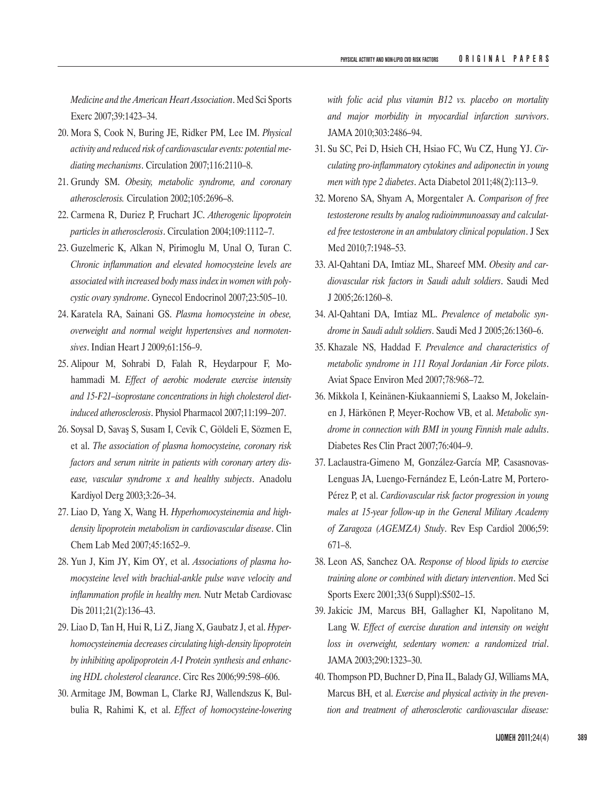*[Medicine and the American Heart Association](http://www.ncbi.nlm.nih.gov/pubmed/17762377?ordinalpos=2&itool=EntrezSystem2.PEntrez.Pubmed.Pubmed_ResultsPanel.Pubmed_DefaultReportPanel.Pubmed_RVDocSum)*. Med Sci Sports Exerc 2007;39:1423–34.

- 20.  Mora S, Cook N, Buring JE, Ridker PM, Lee IM. *[Physical](http://www.ncbi.nlm.nih.gov/pubmed/17967770?ordinalpos=1&itool=EntrezSystem2.PEntrez.Pubmed.Pubmed_ResultsPanel.Pubmed_DefaultReportPanel.Pubmed_RVDocSum) [activity and reduced risk of cardiovascular events: potential me](http://www.ncbi.nlm.nih.gov/pubmed/17967770?ordinalpos=1&itool=EntrezSystem2.PEntrez.Pubmed.Pubmed_ResultsPanel.Pubmed_DefaultReportPanel.Pubmed_RVDocSum)[diating mechanisms](http://www.ncbi.nlm.nih.gov/pubmed/17967770?ordinalpos=1&itool=EntrezSystem2.PEntrez.Pubmed.Pubmed_ResultsPanel.Pubmed_DefaultReportPanel.Pubmed_RVDocSum)*. Circulation 2007;116:2110–8.
- 21. Grundy SM. *[Obesity, metabolic syndrome, and coronary](http://www.ncbi.nlm.nih.gov/pubmed/12057978?ordinalpos=16&itool=EntrezSystem2.PEntrez.Pubmed.Pubmed_ResultsPanel.Pubmed_DefaultReportPanel.Pubmed_RVDocSum) [atherosclerosis.](http://www.ncbi.nlm.nih.gov/pubmed/12057978?ordinalpos=16&itool=EntrezSystem2.PEntrez.Pubmed.Pubmed_ResultsPanel.Pubmed_DefaultReportPanel.Pubmed_RVDocSum)* Circulation 2002;105:2696–8.
- 22.  Carmena R, Duriez P, Fruchart JC. *[Atherogenic lipoprotein](http://www.ncbi.nlm.nih.gov/pubmed/15198959?ordinalpos=6&itool=EntrezSystem2.PEntrez.Pubmed.Pubmed_ResultsPanel.Pubmed_DefaultReportPanel.Pubmed_RVDocSum) [particles in atherosclerosis](http://www.ncbi.nlm.nih.gov/pubmed/15198959?ordinalpos=6&itool=EntrezSystem2.PEntrez.Pubmed.Pubmed_ResultsPanel.Pubmed_DefaultReportPanel.Pubmed_RVDocSum)*. Circulation 2004;109:1112–7.
- 23. Guzelmeric K, Alkan N, Pirimoglu M, Unal O, Turan C. *[Chronic inflammation and elevated homocysteine levels are](http://www.ncbi.nlm.nih.gov/pubmed/17852421) [associated with increased body mass index in women with poly](http://www.ncbi.nlm.nih.gov/pubmed/17852421)[cystic ovary syndrome](http://www.ncbi.nlm.nih.gov/pubmed/17852421)*. Gynecol Endocrinol 2007;23:505–10.
- 24. Karatela RA, Sainani GS. *[Plasma homocysteine in obese,](http://www.ncbi.nlm.nih.gov/pubmed/20039500) [overweight and normal weight hypertensives and normoten](http://www.ncbi.nlm.nih.gov/pubmed/20039500)[sives](http://www.ncbi.nlm.nih.gov/pubmed/20039500)*. Indian Heart J 2009;61:156–9.
- 25. Alipour M, Sohrabi D, Falah R, Heydarpour F, Mohammadi M. *Effect of aerobic moderate exercise intensity and 15-F21–isoprostane concentrations in high cholesterol dietinduced atherosclerosis*. Physiol Pharmacol 2007;11:199–207.
- 26.  Soysal D, Savaş S, Susam I, Cevik C, Göldeli E, Sözmen E, et al. *[The association of plasma homocysteine, coronary risk](http://www.ncbi.nlm.nih.gov/pubmed/12626307) [factors and serum nitrite in patients with coronary artery dis](http://www.ncbi.nlm.nih.gov/pubmed/12626307)[ease, vascular syndrome x and healthy subjects](http://www.ncbi.nlm.nih.gov/pubmed/12626307)*. Anadolu Kardiyol Derg 2003;3:26–34.
- 27. [Liao D](http://www.ncbi.nlm.nih.gov/pubmed?term=%22Liao D%22%5BAuthor%5D&itool=EntrezSystem2.PEntrez.Pubmed.Pubmed_ResultsPanel.Pubmed_RVAbstract), [Yang X](http://www.ncbi.nlm.nih.gov/pubmed?term=%22Yang X%22%5BAuthor%5D&itool=EntrezSystem2.PEntrez.Pubmed.Pubmed_ResultsPanel.Pubmed_RVAbstract), [Wang H](http://www.ncbi.nlm.nih.gov/pubmed?term=%22Wang H%22%5BAuthor%5D&itool=EntrezSystem2.PEntrez.Pubmed.Pubmed_ResultsPanel.Pubmed_RVAbstract). *Hyperhomocysteinemia and highdensity lipoprotein metabolism in cardiovascular disease*. Clin Chem Lab Med 2007;45:1652–9.
- 28. [Yun J](http://www.ncbi.nlm.nih.gov/pubmed?term=%22Yun J%22%5BAuthor%5D&itool=EntrezSystem2.PEntrez.Pubmed.Pubmed_ResultsPanel.Pubmed_RVAbstract), [Kim JY](http://www.ncbi.nlm.nih.gov/pubmed?term=%22Kim JY%22%5BAuthor%5D&itool=EntrezSystem2.PEntrez.Pubmed.Pubmed_ResultsPanel.Pubmed_RVAbstract), [Kim OY](http://www.ncbi.nlm.nih.gov/pubmed?term=%22Kim OY%22%5BAuthor%5D&itool=EntrezSystem2.PEntrez.Pubmed.Pubmed_ResultsPanel.Pubmed_RVAbstract), et al. *Associations of plasma homocysteine level with brachial-ankle pulse wave velocity and inflammation profile in healthy men.* Nutr Metab Cardiovasc Dis 2011;21(2):136–43.
- 29.  Liao D, Tan H, Hui R, Li Z, Jiang X, Gaubatz J, et al. *Hyperhomocysteinemia decreases circulating high-density lipoprotein by inhibiting apolipoprotein A-I Protein synthesis and enhancing HDL cholesterol clearance*. [Circ Res](file:///C:/3stylers/IJOMEH/IJOMEH_4_2011/javascript:AL_get(this, ) 2006;99:598–606.
- 30.  Armitage JM, Bowman L, Clarke RJ, Wallendszus K, Bulbulia R, Rahimi K, et al. *Effect of homocysteine-lowering*

*with folic acid plus vitamin B12 vs. placebo on mortality and major morbidity in myocardial infarction survivors*. JAMA 2010;303:2486–94.

- 31. [Su SC](http://www.ncbi.nlm.nih.gov/pubmed?term=%22Su SC%22%5BAuthor%5D&itool=EntrezSystem2.PEntrez.Pubmed.Pubmed_ResultsPanel.Pubmed_RVAbstract), [Pei D,](http://www.ncbi.nlm.nih.gov/pubmed?term=%22Pei D%22%5BAuthor%5D&itool=EntrezSystem2.PEntrez.Pubmed.Pubmed_ResultsPanel.Pubmed_RVAbstract) [Hsieh CH](http://www.ncbi.nlm.nih.gov/pubmed?term=%22Hsieh CH%22%5BAuthor%5D&itool=EntrezSystem2.PEntrez.Pubmed.Pubmed_ResultsPanel.Pubmed_RVAbstract), Hsiao FC, Wu CZ, Hung YJ. *Circulating pro-inflammatory cytokines and adiponectin in young men with type 2 diabetes*. Acta Diabetol 2011;48(2):113–9.
- 32. [Moreno SA](http://www.ncbi.nlm.nih.gov/pubmed?term=%22Moreno SA%22%5BAuthor%5D&itool=EntrezSystem2.PEntrez.Pubmed.Pubmed_ResultsPanel.Pubmed_RVAbstract), [Shyam A](http://www.ncbi.nlm.nih.gov/pubmed?term=%22Shyam A%22%5BAuthor%5D&itool=EntrezSystem2.PEntrez.Pubmed.Pubmed_ResultsPanel.Pubmed_RVAbstract), [Morgentaler A.](http://www.ncbi.nlm.nih.gov/pubmed?term=%22Morgentaler A%22%5BAuthor%5D&itool=EntrezSystem2.PEntrez.Pubmed.Pubmed_ResultsPanel.Pubmed_RVAbstract) *Comparison of free testosterone results by analog radioimmunoassay and calculated free testosterone in an ambulatory clinical population*. J Sex Med 2010;7:1948–53.
- 33.  Al-Qahtani DA, Imtiaz ML, Shareef MM. *[Obesity and car](http://www.ncbi.nlm.nih.gov/pubmed/16127526?ordinalpos=3&itool=EntrezSystem2.PEntrez.Pubmed.Pubmed_ResultsPanel.Pubmed_DefaultReportPanel.Pubmed_RVDocSum)[diovascular risk factors in Saudi adult soldiers](http://www.ncbi.nlm.nih.gov/pubmed/16127526?ordinalpos=3&itool=EntrezSystem2.PEntrez.Pubmed.Pubmed_ResultsPanel.Pubmed_DefaultReportPanel.Pubmed_RVDocSum)*. Saudi Med J 2005;26:1260–8.
- 34.  Al-Qahtani DA, Imtiaz ML. *[Prevalence of metabolic syn](http://www.ncbi.nlm.nih.gov/pubmed/16155648?ordinalpos=2&itool=EntrezSystem2.PEntrez.Pubmed.Pubmed_ResultsPanel.Pubmed_DefaultReportPanel.Pubmed_RVDocSum)[drome in Saudi adult soldiers](http://www.ncbi.nlm.nih.gov/pubmed/16155648?ordinalpos=2&itool=EntrezSystem2.PEntrez.Pubmed.Pubmed_ResultsPanel.Pubmed_DefaultReportPanel.Pubmed_RVDocSum)*. Saudi Med J 2005;26:1360–6.
- 35. [Khazale NS,](http://www.ncbi.nlm.nih.gov/sites/entrez?Db=pubmed&Cmd=Search&Term=%22Khazale NS%22%5BAuthor%5D&itool=EntrezSystem2.PEntrez.Pubmed.Pubmed_ResultsPanel.Pubmed_DiscoveryPanel.Pubmed_RVAbstractPlus) [Haddad F](http://www.ncbi.nlm.nih.gov/sites/entrez?Db=pubmed&Cmd=Search&Term=%22Haddad F%22%5BAuthor%5D&itool=EntrezSystem2.PEntrez.Pubmed.Pubmed_ResultsPanel.Pubmed_DiscoveryPanel.Pubmed_RVAbstractPlus). *Prevalence and characteristics of metabolic syndrome in 111 Royal Jordanian Air Force pilots*. [Aviat Space Environ Med](file:///C:/3stylers/IJOMEH/IJOMEH_4_2011/javascript:AL_get(this, ) 2007;78:968–72.
- 36.  Mikkola I, Keinänen-Kiukaanniemi S, Laakso M, Jokelainen J, Härkönen P, Meyer-Rochow VB, et al. *[Metabolic syn](http://www.ncbi.nlm.nih.gov/pubmed/17064807?ordinalpos=1&itool=EntrezSystem2.PEntrez.Pubmed.Pubmed_ResultsPanel.Pubmed_DefaultReportPanel.Pubmed_RVDocSum)[drome in connection with BMI in young Finnish male adults](http://www.ncbi.nlm.nih.gov/pubmed/17064807?ordinalpos=1&itool=EntrezSystem2.PEntrez.Pubmed.Pubmed_ResultsPanel.Pubmed_DefaultReportPanel.Pubmed_RVDocSum)*. Diabetes Res Clin Pract 2007;76:404–9.
- 37. [Laclaustra-Gimeno M](http://www.ncbi.nlm.nih.gov/sites/entrez?Db=pubmed&Cmd=Search&Term=%22Laclaustra-Gimeno M%22%5BAuthor%5D&itool=EntrezSystem2.PEntrez.Pubmed.Pubmed_ResultsPanel.Pubmed_DiscoveryPanel.Pubmed_RVAbstractPlus), [González-García MP](http://www.ncbi.nlm.nih.gov/sites/entrez?Db=pubmed&Cmd=Search&Term=%22Gonz%C3%A1lez-Garc%C3%ADa MP%22%5BAuthor%5D&itool=EntrezSystem2.PEntrez.Pubmed.Pubmed_ResultsPanel.Pubmed_DiscoveryPanel.Pubmed_RVAbstractPlus), [Casasnovas-](http://www.ncbi.nlm.nih.gov/sites/entrez?Db=pubmed&Cmd=Search&Term=%22Casasnovas-Lenguas JA%22%5BAuthor%5D&itool=EntrezSystem2.PEntrez.Pubmed.Pubmed_ResultsPanel.Pubmed_DiscoveryPanel.Pubmed_RVAbstractPlus)[Lenguas JA](http://www.ncbi.nlm.nih.gov/sites/entrez?Db=pubmed&Cmd=Search&Term=%22Casasnovas-Lenguas JA%22%5BAuthor%5D&itool=EntrezSystem2.PEntrez.Pubmed.Pubmed_ResultsPanel.Pubmed_DiscoveryPanel.Pubmed_RVAbstractPlus), [Luengo-Fernández E](http://www.ncbi.nlm.nih.gov/sites/entrez?Db=pubmed&Cmd=Search&Term=%22Luengo-Fern%C3%A1ndez E%22%5BAuthor%5D&itool=EntrezSystem2.PEntrez.Pubmed.Pubmed_ResultsPanel.Pubmed_DiscoveryPanel.Pubmed_RVAbstractPlus), [León-Latre M](http://www.ncbi.nlm.nih.gov/sites/entrez?Db=pubmed&Cmd=Search&Term=%22Le%C3%B3n-Latre M%22%5BAuthor%5D&itool=EntrezSystem2.PEntrez.Pubmed.Pubmed_ResultsPanel.Pubmed_DiscoveryPanel.Pubmed_RVAbstractPlus), [Portero-](http://www.ncbi.nlm.nih.gov/sites/entrez?Db=pubmed&Cmd=Search&Term=%22Portero-P%C3%A9rez P%22%5BAuthor%5D&itool=EntrezSystem2.PEntrez.Pubmed.Pubmed_ResultsPanel.Pubmed_DiscoveryPanel.Pubmed_RVAbstractPlus)[Pérez P](http://www.ncbi.nlm.nih.gov/sites/entrez?Db=pubmed&Cmd=Search&Term=%22Portero-P%C3%A9rez P%22%5BAuthor%5D&itool=EntrezSystem2.PEntrez.Pubmed.Pubmed_ResultsPanel.Pubmed_DiscoveryPanel.Pubmed_RVAbstractPlus), et al. *Cardiovascular risk factor progression in young males at 15-year follow-up in the General Military Academy of Zaragoza (AGEMZA) Study*. [Rev Esp Cardiol](file:///C:/3stylers/IJOMEH/IJOMEH_4_2011/javascript:AL_get(this, ) 2006;59: 671–8.
- 38.  Leon AS, Sanchez OA. *[Response of blood lipids to exercise](http://www.ncbi.nlm.nih.gov/pubmed/11427777?ordinalpos=19&itool=EntrezSystem2.PEntrez.Pubmed.Pubmed_ResultsPanel.Pubmed_DefaultReportPanel.Pubmed_RVDocSum)  [training alone or combined with dietary intervention](http://www.ncbi.nlm.nih.gov/pubmed/11427777?ordinalpos=19&itool=EntrezSystem2.PEntrez.Pubmed.Pubmed_ResultsPanel.Pubmed_DefaultReportPanel.Pubmed_RVDocSum)*. Med Sci Sports Exerc 2001;33(6 Suppl):S502–15.
- 39.  Jakicic JM, Marcus BH, Gallagher KI, Napolitano M, Lang W. *[Effect of exercise duration and intensity on weight](http://www.ncbi.nlm.nih.gov/pubmed/12966123?ordinalpos=5&itool=EntrezSystem2.PEntrez.Pubmed.Pubmed_ResultsPanel.Pubmed_DefaultReportPanel.Pubmed_RVDocSum)  [loss in overweight, sedentary women: a](http://www.ncbi.nlm.nih.gov/pubmed/12966123?ordinalpos=5&itool=EntrezSystem2.PEntrez.Pubmed.Pubmed_ResultsPanel.Pubmed_DefaultReportPanel.Pubmed_RVDocSum) randomized trial*. JAMA 2003;290:1323–30.
- 40.  Thompson PD, Buchner D, Pina IL, Balady GJ, Williams MA, Marcus BH, et al. *[Exercise and physical activity in the preven](http://www.ncbi.nlm.nih.gov/pubmed/12821592?ordinalpos=14&itool=EntrezSystem2.PEntrez.Pubmed.Pubmed_ResultsPanel.Pubmed_DefaultReportPanel.Pubmed_RVDocSum)[tion and treatment of atherosclerotic cardiovascular disease:](http://www.ncbi.nlm.nih.gov/pubmed/12821592?ordinalpos=14&itool=EntrezSystem2.PEntrez.Pubmed.Pubmed_ResultsPanel.Pubmed_DefaultReportPanel.Pubmed_RVDocSum)*